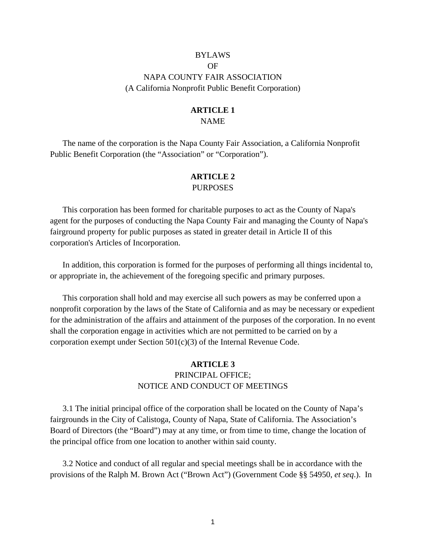# BYLAWS OF NAPA COUNTY FAIR ASSOCIATION (A California Nonprofit Public Benefit Corporation)

# **ARTICLE 1**

# NAME

The name of the corporation is the Napa County Fair Association, a California Nonprofit Public Benefit Corporation (the "Association" or "Corporation").

## **ARTICLE 2**  PURPOSES

This corporation has been formed for charitable purposes to act as the County of Napa's agent for the purposes of conducting the Napa County Fair and managing the County of Napa's fairground property for public purposes as stated in greater detail in Article II of this corporation's Articles of Incorporation.

In addition, this corporation is formed for the purposes of performing all things incidental to, or appropriate in, the achievement of the foregoing specific and primary purposes.

This corporation shall hold and may exercise all such powers as may be conferred upon a nonprofit corporation by the laws of the State of California and as may be necessary or expedient for the administration of the affairs and attainment of the purposes of the corporation. In no event shall the corporation engage in activities which are not permitted to be carried on by a corporation exempt under Section  $501(c)(3)$  of the Internal Revenue Code.

# **ARTICLE 3**  PRINCIPAL OFFICE; NOTICE AND CONDUCT OF MEETINGS

3.1 The initial principal office of the corporation shall be located on the County of Napa's fairgrounds in the City of Calistoga, County of Napa, State of California. The Association's Board of Directors (the "Board") may at any time, or from time to time, change the location of the principal office from one location to another within said county.

3.2 Notice and conduct of all regular and special meetings shall be in accordance with the provisions of the Ralph M. Brown Act ("Brown Act") (Government Code §§ 54950, *et seq*.). In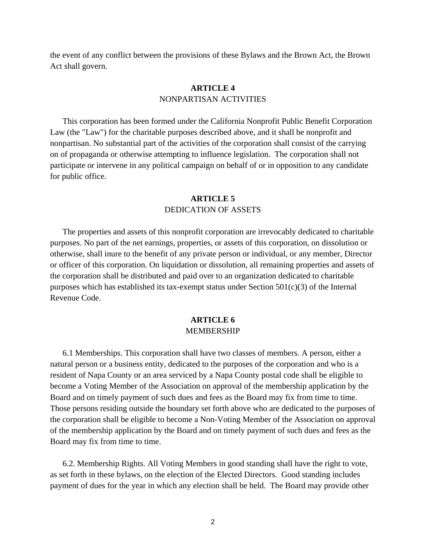the event of any conflict between the provisions of these Bylaws and the Brown Act, the Brown Act shall govern.

# **ARTICLE 4**  NONPARTISAN ACTIVITIES

This corporation has been formed under the California Nonprofit Public Benefit Corporation Law (the "Law") for the charitable purposes described above, and it shall be nonprofit and nonpartisan. No substantial part of the activities of the corporation shall consist of the carrying on of propaganda or otherwise attempting to influence legislation. The corporation shall not participate or intervene in any political campaign on behalf of or in opposition to any candidate for public office.

#### **ARTICLE 5**  DEDICATION OF ASSETS

The properties and assets of this nonprofit corporation are irrevocably dedicated to charitable purposes. No part of the net earnings, properties, or assets of this corporation, on dissolution or otherwise, shall inure to the benefit of any private person or individual, or any member, Director or officer of this corporation. On liquidation or dissolution, all remaining properties and assets of the corporation shall be distributed and paid over to an organization dedicated to charitable purposes which has established its tax-exempt status under Section  $501(c)(3)$  of the Internal Revenue Code.

## **ARTICLE 6**  MEMBERSHIP

6.1 Memberships. This corporation shall have two classes of members. A person, either a natural person or a business entity, dedicated to the purposes of the corporation and who is a resident of Napa County or an area serviced by a Napa County postal code shall be eligible to become a Voting Member of the Association on approval of the membership application by the Board and on timely payment of such dues and fees as the Board may fix from time to time. Those persons residing outside the boundary set forth above who are dedicated to the purposes of the corporation shall be eligible to become a Non-Voting Member of the Association on approval of the membership application by the Board and on timely payment of such dues and fees as the Board may fix from time to time.

6.2. Membership Rights. All Voting Members in good standing shall have the right to vote, as set forth in these bylaws, on the election of the Elected Directors. Good standing includes payment of dues for the year in which any election shall be held. The Board may provide other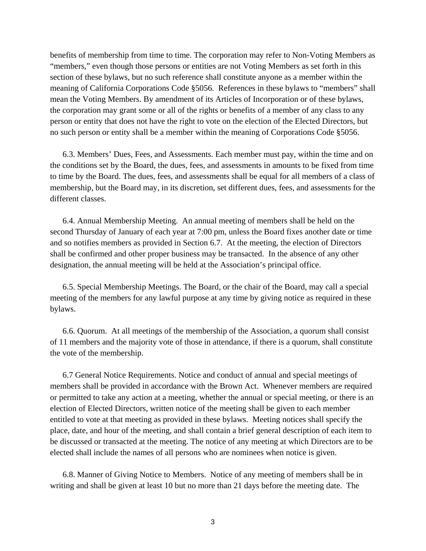benefits of membership from time to time. The corporation may refer to Non-Voting Members as "members," even though those persons or entities are not Voting Members as set forth in this section of these bylaws, but no such reference shall constitute anyone as a member within the meaning of California Corporations Code §5056. References in these bylaws to "members" shall mean the Voting Members. By amendment of its Articles of Incorporation or of these bylaws, the corporation may grant some or all of the rights or benefits of a member of any class to any person or entity that does not have the right to vote on the election of the Elected Directors, but no such person or entity shall be a member within the meaning of Corporations Code §5056.

6.3. Members' Dues, Fees, and Assessments. Each member must pay, within the time and on the conditions set by the Board, the dues, fees, and assessments in amounts to be fixed from time to time by the Board. The dues, fees, and assessments shall be equal for all members of a class of membership, but the Board may, in its discretion, set different dues, fees, and assessments for the different classes.

6.4. Annual Membership Meeting. An annual meeting of members shall be held on the second Thursday of January of each year at 7:00 pm, unless the Board fixes another date or time and so notifies members as provided in Section 6.7. At the meeting, the election of Directors shall be confirmed and other proper business may be transacted. In the absence of any other designation, the annual meeting will be held at the Association's principal office.

6.5. Special Membership Meetings. The Board, or the chair of the Board, may call a special meeting of the members for any lawful purpose at any time by giving notice as required in these bylaws.

6.6. Quorum. At all meetings of the membership of the Association, a quorum shall consist of 11 members and the majority vote of those in attendance, if there is a quorum, shall constitute the vote of the membership.

6.7 General Notice Requirements. Notice and conduct of annual and special meetings of members shall be provided in accordance with the Brown Act. Whenever members are required or permitted to take any action at a meeting, whether the annual or special meeting, or there is an election of Elected Directors, written notice of the meeting shall be given to each member entitled to vote at that meeting as provided in these bylaws. Meeting notices shall specify the place, date, and hour of the meeting, and shall contain a brief general description of each item to be discussed or transacted at the meeting. The notice of any meeting at which Directors are to be elected shall include the names of all persons who are nominees when notice is given.

6.8. Manner of Giving Notice to Members. Notice of any meeting of members shall be in writing and shall be given at least 10 but no more than 21 days before the meeting date. The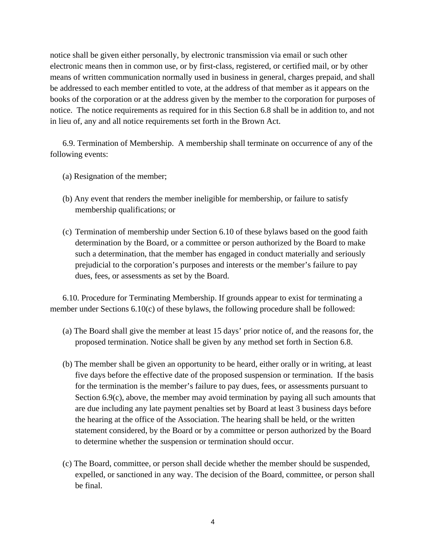notice shall be given either personally, by electronic transmission via email or such other electronic means then in common use, or by first-class, registered, or certified mail, or by other means of written communication normally used in business in general, charges prepaid, and shall be addressed to each member entitled to vote, at the address of that member as it appears on the books of the corporation or at the address given by the member to the corporation for purposes of notice. The notice requirements as required for in this Section 6.8 shall be in addition to, and not in lieu of, any and all notice requirements set forth in the Brown Act.

6.9. Termination of Membership. A membership shall terminate on occurrence of any of the following events:

- (a) Resignation of the member;
- (b) Any event that renders the member ineligible for membership, or failure to satisfy membership qualifications; or
- (c) Termination of membership under Section 6.10 of these bylaws based on the good faith determination by the Board, or a committee or person authorized by the Board to make such a determination, that the member has engaged in conduct materially and seriously prejudicial to the corporation's purposes and interests or the member's failure to pay dues, fees, or assessments as set by the Board.

6.10. Procedure for Terminating Membership. If grounds appear to exist for terminating a member under Sections 6.10(c) of these bylaws, the following procedure shall be followed:

- (a) The Board shall give the member at least 15 days' prior notice of, and the reasons for, the proposed termination. Notice shall be given by any method set forth in Section 6.8.
- (b) The member shall be given an opportunity to be heard, either orally or in writing, at least five days before the effective date of the proposed suspension or termination. If the basis for the termination is the member's failure to pay dues, fees, or assessments pursuant to Section 6.9(c), above, the member may avoid termination by paying all such amounts that are due including any late payment penalties set by Board at least 3 business days before the hearing at the office of the Association. The hearing shall be held, or the written statement considered, by the Board or by a committee or person authorized by the Board to determine whether the suspension or termination should occur.
- (c) The Board, committee, or person shall decide whether the member should be suspended, expelled, or sanctioned in any way. The decision of the Board, committee, or person shall be final.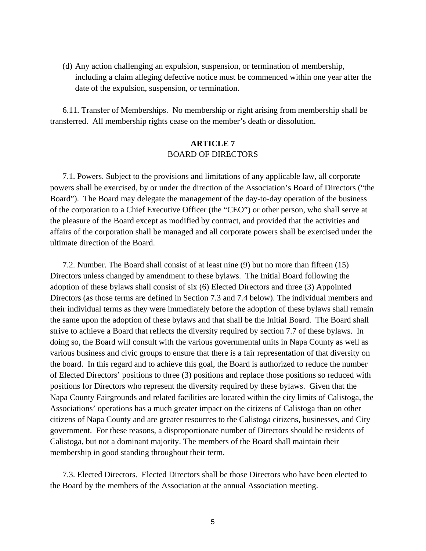(d) Any action challenging an expulsion, suspension, or termination of membership, including a claim alleging defective notice must be commenced within one year after the date of the expulsion, suspension, or termination.

6.11. Transfer of Memberships. No membership or right arising from membership shall be transferred. All membership rights cease on the member's death or dissolution.

# **ARTICLE 7**  BOARD OF DIRECTORS

7.1. Powers. Subject to the provisions and limitations of any applicable law, all corporate powers shall be exercised, by or under the direction of the Association's Board of Directors ("the Board"). The Board may delegate the management of the day-to-day operation of the business of the corporation to a Chief Executive Officer (the "CEO") or other person, who shall serve at the pleasure of the Board except as modified by contract, and provided that the activities and affairs of the corporation shall be managed and all corporate powers shall be exercised under the ultimate direction of the Board.

7.2. Number. The Board shall consist of at least nine (9) but no more than fifteen (15) Directors unless changed by amendment to these bylaws. The Initial Board following the adoption of these bylaws shall consist of six (6) Elected Directors and three (3) Appointed Directors (as those terms are defined in Section 7.3 and 7.4 below). The individual members and their individual terms as they were immediately before the adoption of these bylaws shall remain the same upon the adoption of these bylaws and that shall be the Initial Board. The Board shall strive to achieve a Board that reflects the diversity required by section 7.7 of these bylaws. In doing so, the Board will consult with the various governmental units in Napa County as well as various business and civic groups to ensure that there is a fair representation of that diversity on the board. In this regard and to achieve this goal, the Board is authorized to reduce the number of Elected Directors' positions to three (3) positions and replace those positions so reduced with positions for Directors who represent the diversity required by these bylaws. Given that the Napa County Fairgrounds and related facilities are located within the city limits of Calistoga, the Associations' operations has a much greater impact on the citizens of Calistoga than on other citizens of Napa County and are greater resources to the Calistoga citizens, businesses, and City government. For these reasons, a disproportionate number of Directors should be residents of Calistoga, but not a dominant majority. The members of the Board shall maintain their membership in good standing throughout their term.

7.3. Elected Directors. Elected Directors shall be those Directors who have been elected to the Board by the members of the Association at the annual Association meeting.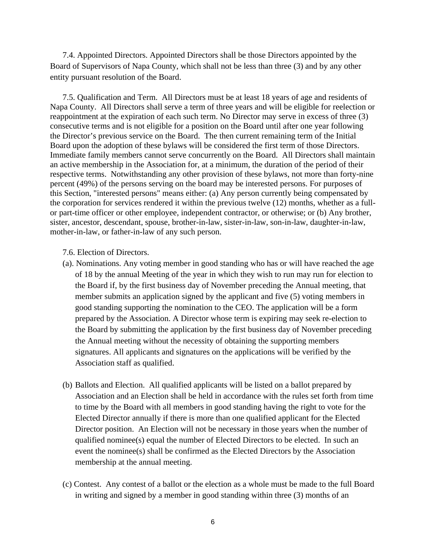7.4. Appointed Directors. Appointed Directors shall be those Directors appointed by the Board of Supervisors of Napa County, which shall not be less than three (3) and by any other entity pursuant resolution of the Board.

7.5. Qualification and Term. All Directors must be at least 18 years of age and residents of Napa County. All Directors shall serve a term of three years and will be eligible for reelection or reappointment at the expiration of each such term. No Director may serve in excess of three (3) consecutive terms and is not eligible for a position on the Board until after one year following the Director's previous service on the Board. The then current remaining term of the Initial Board upon the adoption of these bylaws will be considered the first term of those Directors. Immediate family members cannot serve concurrently on the Board. All Directors shall maintain an active membership in the Association for, at a minimum, the duration of the period of their respective terms. Notwithstanding any other provision of these bylaws, not more than forty-nine percent (49%) of the persons serving on the board may be interested persons. For purposes of this Section, "interested persons" means either: (a) Any person currently being compensated by the corporation for services rendered it within the previous twelve (12) months, whether as a fullor part-time officer or other employee, independent contractor, or otherwise; or (b) Any brother, sister, ancestor, descendant, spouse, brother-in-law, sister-in-law, son-in-law, daughter-in-law, mother-in-law, or father-in-law of any such person.

- 7.6. Election of Directors.
- (a). Nominations. Any voting member in good standing who has or will have reached the age of 18 by the annual Meeting of the year in which they wish to run may run for election to the Board if, by the first business day of November preceding the Annual meeting, that member submits an application signed by the applicant and five (5) voting members in good standing supporting the nomination to the CEO. The application will be a form prepared by the Association. A Director whose term is expiring may seek re-election to the Board by submitting the application by the first business day of November preceding the Annual meeting without the necessity of obtaining the supporting members signatures. All applicants and signatures on the applications will be verified by the Association staff as qualified.
- (b) Ballots and Election. All qualified applicants will be listed on a ballot prepared by Association and an Election shall be held in accordance with the rules set forth from time to time by the Board with all members in good standing having the right to vote for the Elected Director annually if there is more than one qualified applicant for the Elected Director position. An Election will not be necessary in those years when the number of qualified nominee(s) equal the number of Elected Directors to be elected. In such an event the nominee(s) shall be confirmed as the Elected Directors by the Association membership at the annual meeting.
- (c) Contest. Any contest of a ballot or the election as a whole must be made to the full Board in writing and signed by a member in good standing within three (3) months of an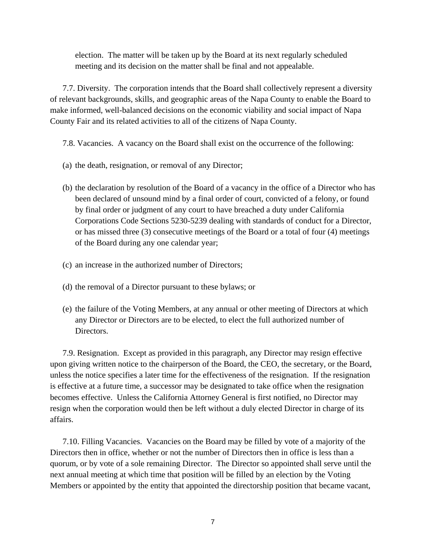election. The matter will be taken up by the Board at its next regularly scheduled meeting and its decision on the matter shall be final and not appealable.

7.7. Diversity. The corporation intends that the Board shall collectively represent a diversity of relevant backgrounds, skills, and geographic areas of the Napa County to enable the Board to make informed, well-balanced decisions on the economic viability and social impact of Napa County Fair and its related activities to all of the citizens of Napa County.

- 7.8. Vacancies. A vacancy on the Board shall exist on the occurrence of the following:
- (a) the death, resignation, or removal of any Director;
- (b) the declaration by resolution of the Board of a vacancy in the office of a Director who has been declared of unsound mind by a final order of court, convicted of a felony, or found by final order or judgment of any court to have breached a duty under California Corporations Code Sections 5230-5239 dealing with standards of conduct for a Director, or has missed three (3) consecutive meetings of the Board or a total of four (4) meetings of the Board during any one calendar year;
- (c) an increase in the authorized number of Directors;
- (d) the removal of a Director pursuant to these bylaws; or
- (e) the failure of the Voting Members, at any annual or other meeting of Directors at which any Director or Directors are to be elected, to elect the full authorized number of Directors.

7.9. Resignation. Except as provided in this paragraph, any Director may resign effective upon giving written notice to the chairperson of the Board, the CEO, the secretary, or the Board, unless the notice specifies a later time for the effectiveness of the resignation. If the resignation is effective at a future time, a successor may be designated to take office when the resignation becomes effective. Unless the California Attorney General is first notified, no Director may resign when the corporation would then be left without a duly elected Director in charge of its affairs.

7.10. Filling Vacancies. Vacancies on the Board may be filled by vote of a majority of the Directors then in office, whether or not the number of Directors then in office is less than a quorum, or by vote of a sole remaining Director. The Director so appointed shall serve until the next annual meeting at which time that position will be filled by an election by the Voting Members or appointed by the entity that appointed the directorship position that became vacant,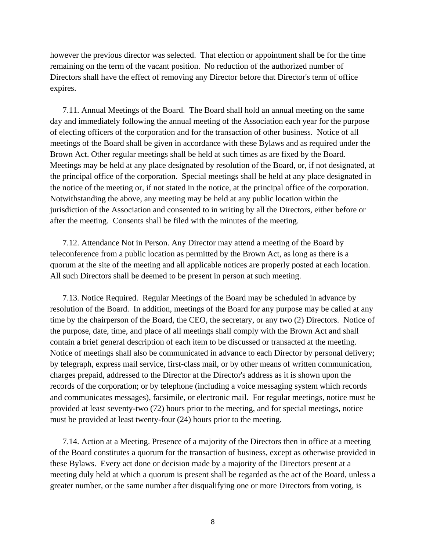however the previous director was selected. That election or appointment shall be for the time remaining on the term of the vacant position. No reduction of the authorized number of Directors shall have the effect of removing any Director before that Director's term of office expires.

7.11. Annual Meetings of the Board. The Board shall hold an annual meeting on the same day and immediately following the annual meeting of the Association each year for the purpose of electing officers of the corporation and for the transaction of other business. Notice of all meetings of the Board shall be given in accordance with these Bylaws and as required under the Brown Act. Other regular meetings shall be held at such times as are fixed by the Board. Meetings may be held at any place designated by resolution of the Board, or, if not designated, at the principal office of the corporation. Special meetings shall be held at any place designated in the notice of the meeting or, if not stated in the notice, at the principal office of the corporation. Notwithstanding the above, any meeting may be held at any public location within the jurisdiction of the Association and consented to in writing by all the Directors, either before or after the meeting. Consents shall be filed with the minutes of the meeting.

7.12. Attendance Not in Person. Any Director may attend a meeting of the Board by teleconference from a public location as permitted by the Brown Act, as long as there is a quorum at the site of the meeting and all applicable notices are properly posted at each location. All such Directors shall be deemed to be present in person at such meeting.

7.13. Notice Required. Regular Meetings of the Board may be scheduled in advance by resolution of the Board. In addition, meetings of the Board for any purpose may be called at any time by the chairperson of the Board, the CEO, the secretary, or any two (2) Directors. Notice of the purpose, date, time, and place of all meetings shall comply with the Brown Act and shall contain a brief general description of each item to be discussed or transacted at the meeting. Notice of meetings shall also be communicated in advance to each Director by personal delivery; by telegraph, express mail service, first-class mail, or by other means of written communication, charges prepaid, addressed to the Director at the Director's address as it is shown upon the records of the corporation; or by telephone (including a voice messaging system which records and communicates messages), facsimile, or electronic mail. For regular meetings, notice must be provided at least seventy-two (72) hours prior to the meeting, and for special meetings, notice must be provided at least twenty-four (24) hours prior to the meeting.

7.14. Action at a Meeting. Presence of a majority of the Directors then in office at a meeting of the Board constitutes a quorum for the transaction of business, except as otherwise provided in these Bylaws. Every act done or decision made by a majority of the Directors present at a meeting duly held at which a quorum is present shall be regarded as the act of the Board, unless a greater number, or the same number after disqualifying one or more Directors from voting, is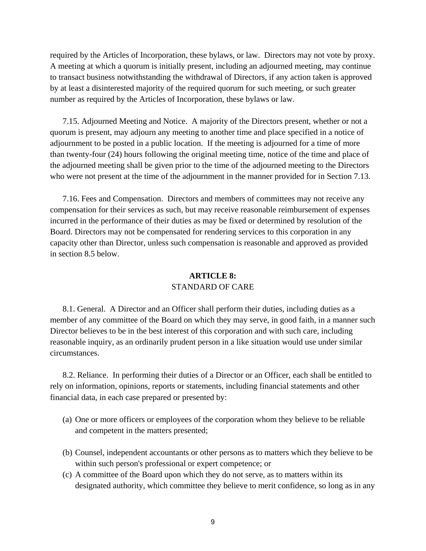required by the Articles of Incorporation, these bylaws, or law. Directors may not vote by proxy. A meeting at which a quorum is initially present, including an adjourned meeting, may continue to transact business notwithstanding the withdrawal of Directors, if any action taken is approved by at least a disinterested majority of the required quorum for such meeting, or such greater number as required by the Articles of Incorporation, these bylaws or law.

7.15. Adjourned Meeting and Notice. A majority of the Directors present, whether or not a quorum is present, may adjourn any meeting to another time and place specified in a notice of adjournment to be posted in a public location. If the meeting is adjourned for a time of more than twenty-four (24) hours following the original meeting time, notice of the time and place of the adjourned meeting shall be given prior to the time of the adjourned meeting to the Directors who were not present at the time of the adjournment in the manner provided for in Section 7.13.

7.16. Fees and Compensation. Directors and members of committees may not receive any compensation for their services as such, but may receive reasonable reimbursement of expenses incurred in the performance of their duties as may be fixed or determined by resolution of the Board. Directors may not be compensated for rendering services to this corporation in any capacity other than Director, unless such compensation is reasonable and approved as provided in section 8.5 below.

## **ARTICLE 8:**  STANDARD OF CARE

8.1. General. A Director and an Officer shall perform their duties, including duties as a member of any committee of the Board on which they may serve, in good faith, in a manner such Director believes to be in the best interest of this corporation and with such care, including reasonable inquiry, as an ordinarily prudent person in a like situation would use under similar circumstances.

8.2. Reliance. In performing their duties of a Director or an Officer, each shall be entitled to rely on information, opinions, reports or statements, including financial statements and other financial data, in each case prepared or presented by:

- (a) One or more officers or employees of the corporation whom they believe to be reliable and competent in the matters presented;
- (b) Counsel, independent accountants or other persons as to matters which they believe to be within such person's professional or expert competence; or
- (c) A committee of the Board upon which they do not serve, as to matters within its designated authority, which committee they believe to merit confidence, so long as in any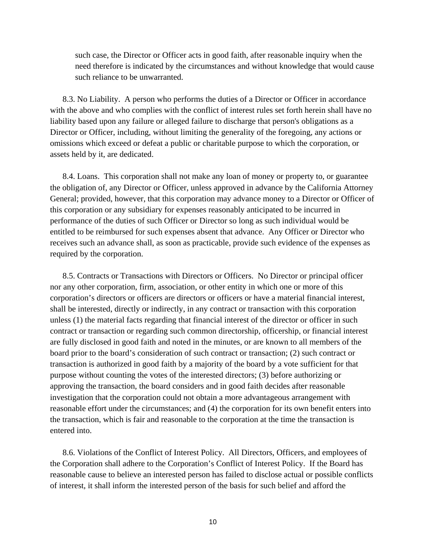such case, the Director or Officer acts in good faith, after reasonable inquiry when the need therefore is indicated by the circumstances and without knowledge that would cause such reliance to be unwarranted.

8.3. No Liability. A person who performs the duties of a Director or Officer in accordance with the above and who complies with the conflict of interest rules set forth herein shall have no liability based upon any failure or alleged failure to discharge that person's obligations as a Director or Officer, including, without limiting the generality of the foregoing, any actions or omissions which exceed or defeat a public or charitable purpose to which the corporation, or assets held by it, are dedicated.

8.4. Loans. This corporation shall not make any loan of money or property to, or guarantee the obligation of, any Director or Officer, unless approved in advance by the California Attorney General; provided, however, that this corporation may advance money to a Director or Officer of this corporation or any subsidiary for expenses reasonably anticipated to be incurred in performance of the duties of such Officer or Director so long as such individual would be entitled to be reimbursed for such expenses absent that advance. Any Officer or Director who receives such an advance shall, as soon as practicable, provide such evidence of the expenses as required by the corporation.

8.5. Contracts or Transactions with Directors or Officers. No Director or principal officer nor any other corporation, firm, association, or other entity in which one or more of this corporation's directors or officers are directors or officers or have a material financial interest, shall be interested, directly or indirectly, in any contract or transaction with this corporation unless (1) the material facts regarding that financial interest of the director or officer in such contract or transaction or regarding such common directorship, officership, or financial interest are fully disclosed in good faith and noted in the minutes, or are known to all members of the board prior to the board's consideration of such contract or transaction; (2) such contract or transaction is authorized in good faith by a majority of the board by a vote sufficient for that purpose without counting the votes of the interested directors; (3) before authorizing or approving the transaction, the board considers and in good faith decides after reasonable investigation that the corporation could not obtain a more advantageous arrangement with reasonable effort under the circumstances; and (4) the corporation for its own benefit enters into the transaction, which is fair and reasonable to the corporation at the time the transaction is entered into.

8.6. Violations of the Conflict of Interest Policy. All Directors, Officers, and employees of the Corporation shall adhere to the Corporation's Conflict of Interest Policy. If the Board has reasonable cause to believe an interested person has failed to disclose actual or possible conflicts of interest, it shall inform the interested person of the basis for such belief and afford the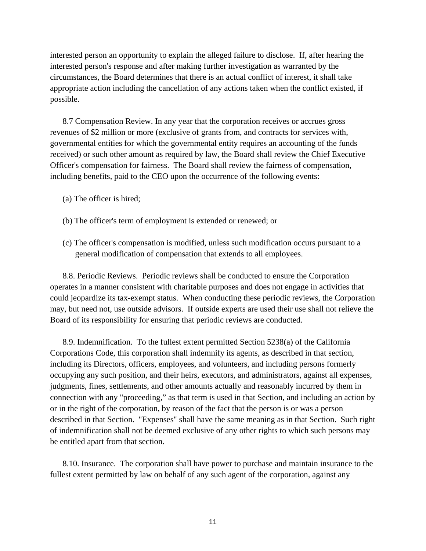interested person an opportunity to explain the alleged failure to disclose. If, after hearing the interested person's response and after making further investigation as warranted by the circumstances, the Board determines that there is an actual conflict of interest, it shall take appropriate action including the cancellation of any actions taken when the conflict existed, if possible.

8.7 Compensation Review. In any year that the corporation receives or accrues gross revenues of \$2 million or more (exclusive of grants from, and contracts for services with, governmental entities for which the governmental entity requires an accounting of the funds received) or such other amount as required by law, the Board shall review the Chief Executive Officer's compensation for fairness. The Board shall review the fairness of compensation, including benefits, paid to the CEO upon the occurrence of the following events:

- (a) The officer is hired;
- (b) The officer's term of employment is extended or renewed; or
- (c) The officer's compensation is modified, unless such modification occurs pursuant to a general modification of compensation that extends to all employees.

8.8. Periodic Reviews. Periodic reviews shall be conducted to ensure the Corporation operates in a manner consistent with charitable purposes and does not engage in activities that could jeopardize its tax-exempt status. When conducting these periodic reviews, the Corporation may, but need not, use outside advisors. If outside experts are used their use shall not relieve the Board of its responsibility for ensuring that periodic reviews are conducted.

8.9. Indemnification. To the fullest extent permitted Section 5238(a) of the California Corporations Code, this corporation shall indemnify its agents, as described in that section, including its Directors, officers, employees, and volunteers, and including persons formerly occupying any such position, and their heirs, executors, and administrators, against all expenses, judgments, fines, settlements, and other amounts actually and reasonably incurred by them in connection with any "proceeding," as that term is used in that Section, and including an action by or in the right of the corporation, by reason of the fact that the person is or was a person described in that Section. "Expenses" shall have the same meaning as in that Section. Such right of indemnification shall not be deemed exclusive of any other rights to which such persons may be entitled apart from that section.

8.10. Insurance. The corporation shall have power to purchase and maintain insurance to the fullest extent permitted by law on behalf of any such agent of the corporation, against any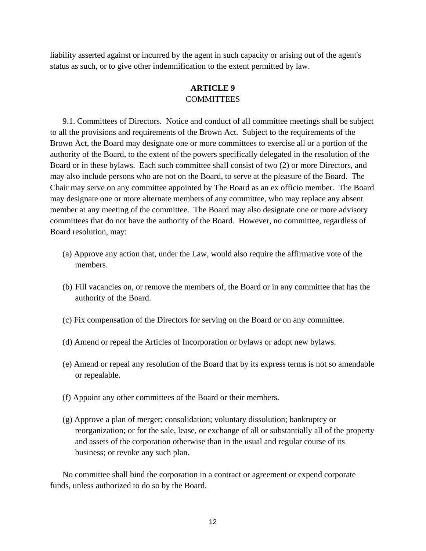liability asserted against or incurred by the agent in such capacity or arising out of the agent's status as such, or to give other indemnification to the extent permitted by law.

# **ARTICLE 9 COMMITTEES**

9.1. Committees of Directors. Notice and conduct of all committee meetings shall be subject to all the provisions and requirements of the Brown Act. Subject to the requirements of the Brown Act, the Board may designate one or more committees to exercise all or a portion of the authority of the Board, to the extent of the powers specifically delegated in the resolution of the Board or in these bylaws. Each such committee shall consist of two (2) or more Directors, and may also include persons who are not on the Board, to serve at the pleasure of the Board. The Chair may serve on any committee appointed by The Board as an ex officio member. The Board may designate one or more alternate members of any committee, who may replace any absent member at any meeting of the committee. The Board may also designate one or more advisory committees that do not have the authority of the Board. However, no committee, regardless of Board resolution, may:

- (a) Approve any action that, under the Law, would also require the affirmative vote of the members.
- (b) Fill vacancies on, or remove the members of, the Board or in any committee that has the authority of the Board.
- (c) Fix compensation of the Directors for serving on the Board or on any committee.
- (d) Amend or repeal the Articles of Incorporation or bylaws or adopt new bylaws.
- (e) Amend or repeal any resolution of the Board that by its express terms is not so amendable or repealable.
- (f) Appoint any other committees of the Board or their members.
- (g) Approve a plan of merger; consolidation; voluntary dissolution; bankruptcy or reorganization; or for the sale, lease, or exchange of all or substantially all of the property and assets of the corporation otherwise than in the usual and regular course of its business; or revoke any such plan.

No committee shall bind the corporation in a contract or agreement or expend corporate funds, unless authorized to do so by the Board.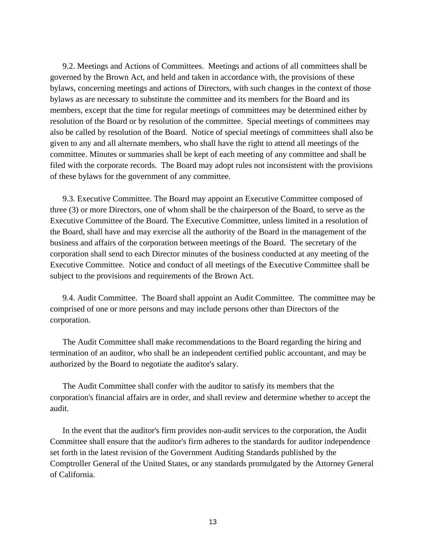9.2. Meetings and Actions of Committees. Meetings and actions of all committees shall be governed by the Brown Act, and held and taken in accordance with, the provisions of these bylaws, concerning meetings and actions of Directors, with such changes in the context of those bylaws as are necessary to substitute the committee and its members for the Board and its members, except that the time for regular meetings of committees may be determined either by resolution of the Board or by resolution of the committee. Special meetings of committees may also be called by resolution of the Board. Notice of special meetings of committees shall also be given to any and all alternate members, who shall have the right to attend all meetings of the committee. Minutes or summaries shall be kept of each meeting of any committee and shall be filed with the corporate records. The Board may adopt rules not inconsistent with the provisions of these bylaws for the government of any committee.

9.3. Executive Committee. The Board may appoint an Executive Committee composed of three (3) or more Directors, one of whom shall be the chairperson of the Board, to serve as the Executive Committee of the Board. The Executive Committee, unless limited in a resolution of the Board, shall have and may exercise all the authority of the Board in the management of the business and affairs of the corporation between meetings of the Board. The secretary of the corporation shall send to each Director minutes of the business conducted at any meeting of the Executive Committee. Notice and conduct of all meetings of the Executive Committee shall be subject to the provisions and requirements of the Brown Act.

9.4. Audit Committee. The Board shall appoint an Audit Committee. The committee may be comprised of one or more persons and may include persons other than Directors of the corporation.

The Audit Committee shall make recommendations to the Board regarding the hiring and termination of an auditor, who shall be an independent certified public accountant, and may be authorized by the Board to negotiate the auditor's salary.

The Audit Committee shall confer with the auditor to satisfy its members that the corporation's financial affairs are in order, and shall review and determine whether to accept the audit.

In the event that the auditor's firm provides non-audit services to the corporation, the Audit Committee shall ensure that the auditor's firm adheres to the standards for auditor independence set forth in the latest revision of the Government Auditing Standards published by the Comptroller General of the United States, or any standards promulgated by the Attorney General of California.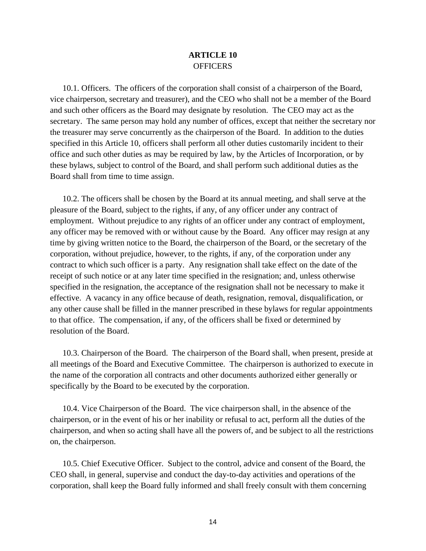## **ARTICLE 10 OFFICERS**

10.1. Officers. The officers of the corporation shall consist of a chairperson of the Board, vice chairperson, secretary and treasurer), and the CEO who shall not be a member of the Board and such other officers as the Board may designate by resolution. The CEO may act as the secretary. The same person may hold any number of offices, except that neither the secretary nor the treasurer may serve concurrently as the chairperson of the Board. In addition to the duties specified in this Article 10, officers shall perform all other duties customarily incident to their office and such other duties as may be required by law, by the Articles of Incorporation, or by these bylaws, subject to control of the Board, and shall perform such additional duties as the Board shall from time to time assign.

10.2. The officers shall be chosen by the Board at its annual meeting, and shall serve at the pleasure of the Board, subject to the rights, if any, of any officer under any contract of employment. Without prejudice to any rights of an officer under any contract of employment, any officer may be removed with or without cause by the Board. Any officer may resign at any time by giving written notice to the Board, the chairperson of the Board, or the secretary of the corporation, without prejudice, however, to the rights, if any, of the corporation under any contract to which such officer is a party. Any resignation shall take effect on the date of the receipt of such notice or at any later time specified in the resignation; and, unless otherwise specified in the resignation, the acceptance of the resignation shall not be necessary to make it effective. A vacancy in any office because of death, resignation, removal, disqualification, or any other cause shall be filled in the manner prescribed in these bylaws for regular appointments to that office. The compensation, if any, of the officers shall be fixed or determined by resolution of the Board.

10.3. Chairperson of the Board. The chairperson of the Board shall, when present, preside at all meetings of the Board and Executive Committee. The chairperson is authorized to execute in the name of the corporation all contracts and other documents authorized either generally or specifically by the Board to be executed by the corporation.

10.4. Vice Chairperson of the Board. The vice chairperson shall, in the absence of the chairperson, or in the event of his or her inability or refusal to act, perform all the duties of the chairperson, and when so acting shall have all the powers of, and be subject to all the restrictions on, the chairperson.

10.5. Chief Executive Officer. Subject to the control, advice and consent of the Board, the CEO shall, in general, supervise and conduct the day-to-day activities and operations of the corporation, shall keep the Board fully informed and shall freely consult with them concerning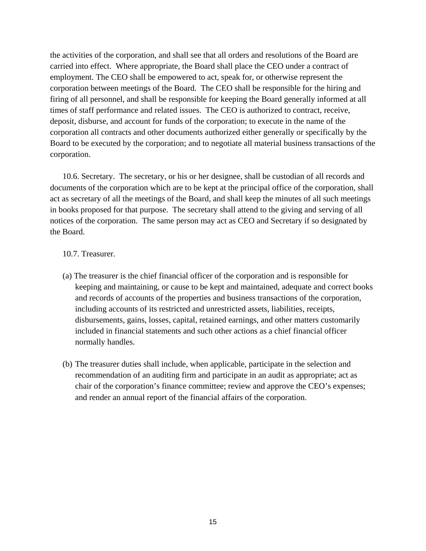the activities of the corporation, and shall see that all orders and resolutions of the Board are carried into effect. Where appropriate, the Board shall place the CEO under a contract of employment. The CEO shall be empowered to act, speak for, or otherwise represent the corporation between meetings of the Board. The CEO shall be responsible for the hiring and firing of all personnel, and shall be responsible for keeping the Board generally informed at all times of staff performance and related issues. The CEO is authorized to contract, receive, deposit, disburse, and account for funds of the corporation; to execute in the name of the corporation all contracts and other documents authorized either generally or specifically by the Board to be executed by the corporation; and to negotiate all material business transactions of the corporation.

10.6. Secretary. The secretary, or his or her designee, shall be custodian of all records and documents of the corporation which are to be kept at the principal office of the corporation, shall act as secretary of all the meetings of the Board, and shall keep the minutes of all such meetings in books proposed for that purpose. The secretary shall attend to the giving and serving of all notices of the corporation. The same person may act as CEO and Secretary if so designated by the Board.

#### 10.7. Treasurer.

- (a) The treasurer is the chief financial officer of the corporation and is responsible for keeping and maintaining, or cause to be kept and maintained, adequate and correct books and records of accounts of the properties and business transactions of the corporation, including accounts of its restricted and unrestricted assets, liabilities, receipts, disbursements, gains, losses, capital, retained earnings, and other matters customarily included in financial statements and such other actions as a chief financial officer normally handles.
- (b) The treasurer duties shall include, when applicable, participate in the selection and recommendation of an auditing firm and participate in an audit as appropriate; act as chair of the corporation's finance committee; review and approve the CEO's expenses; and render an annual report of the financial affairs of the corporation.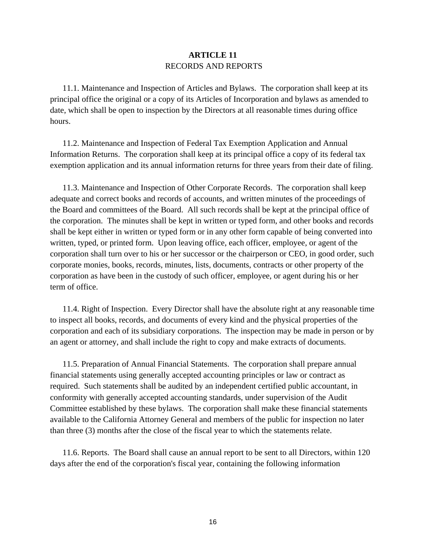## **ARTICLE 11**  RECORDS AND REPORTS

11.1. Maintenance and Inspection of Articles and Bylaws. The corporation shall keep at its principal office the original or a copy of its Articles of Incorporation and bylaws as amended to date, which shall be open to inspection by the Directors at all reasonable times during office hours.

11.2. Maintenance and Inspection of Federal Tax Exemption Application and Annual Information Returns. The corporation shall keep at its principal office a copy of its federal tax exemption application and its annual information returns for three years from their date of filing.

11.3. Maintenance and Inspection of Other Corporate Records. The corporation shall keep adequate and correct books and records of accounts, and written minutes of the proceedings of the Board and committees of the Board. All such records shall be kept at the principal office of the corporation. The minutes shall be kept in written or typed form, and other books and records shall be kept either in written or typed form or in any other form capable of being converted into written, typed, or printed form. Upon leaving office, each officer, employee, or agent of the corporation shall turn over to his or her successor or the chairperson or CEO, in good order, such corporate monies, books, records, minutes, lists, documents, contracts or other property of the corporation as have been in the custody of such officer, employee, or agent during his or her term of office.

11.4. Right of Inspection. Every Director shall have the absolute right at any reasonable time to inspect all books, records, and documents of every kind and the physical properties of the corporation and each of its subsidiary corporations. The inspection may be made in person or by an agent or attorney, and shall include the right to copy and make extracts of documents.

11.5. Preparation of Annual Financial Statements. The corporation shall prepare annual financial statements using generally accepted accounting principles or law or contract as required. Such statements shall be audited by an independent certified public accountant, in conformity with generally accepted accounting standards, under supervision of the Audit Committee established by these bylaws. The corporation shall make these financial statements available to the California Attorney General and members of the public for inspection no later than three (3) months after the close of the fiscal year to which the statements relate.

11.6. Reports. The Board shall cause an annual report to be sent to all Directors, within 120 days after the end of the corporation's fiscal year, containing the following information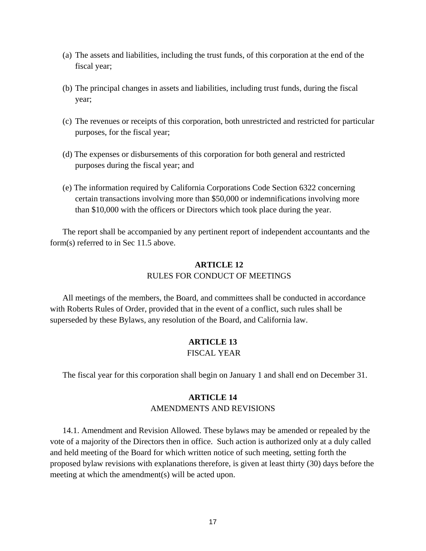- (a) The assets and liabilities, including the trust funds, of this corporation at the end of the fiscal year;
- (b) The principal changes in assets and liabilities, including trust funds, during the fiscal year;
- (c) The revenues or receipts of this corporation, both unrestricted and restricted for particular purposes, for the fiscal year;
- (d) The expenses or disbursements of this corporation for both general and restricted purposes during the fiscal year; and
- (e) The information required by California Corporations Code Section 6322 concerning certain transactions involving more than \$50,000 or indemnifications involving more than \$10,000 with the officers or Directors which took place during the year.

The report shall be accompanied by any pertinent report of independent accountants and the form(s) referred to in Sec 11.5 above.

# **ARTICLE 12**  RULES FOR CONDUCT OF MEETINGS

All meetings of the members, the Board, and committees shall be conducted in accordance with Roberts Rules of Order, provided that in the event of a conflict, such rules shall be superseded by these Bylaws, any resolution of the Board, and California law.

# **ARTICLE 13**

# FISCAL YEAR

The fiscal year for this corporation shall begin on January 1 and shall end on December 31.

#### **ARTICLE 14**

#### AMENDMENTS AND REVISIONS

14.1. Amendment and Revision Allowed. These bylaws may be amended or repealed by the vote of a majority of the Directors then in office. Such action is authorized only at a duly called and held meeting of the Board for which written notice of such meeting, setting forth the proposed bylaw revisions with explanations therefore, is given at least thirty (30) days before the meeting at which the amendment(s) will be acted upon.